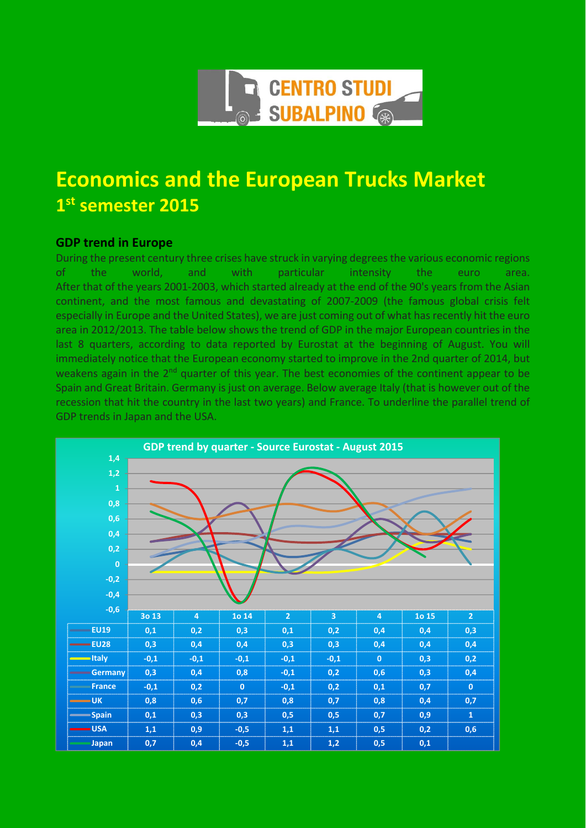

## **Economics and the European Trucks Market 1st semester 2015**

## **GDP trend in Europe**

During the present century three crises have struck in varying degrees the various economic regions of the world, and with particular intensity the euro area. After that of the years 2001‐2003, which started already at the end of the 90's years from the Asian continent, and the most famous and devastating of 2007‐2009 (the famous global crisis felt especially in Europe and the United States), we are just coming out of what has recently hit the euro area in 2012/2013. The table below shows the trend of GDP in the major European countries in the last 8 quarters, according to data reported by Eurostat at the beginning of August. You will immediately notice that the European economy started to improve in the 2nd quarter of 2014, but weakens again in the  $2<sup>nd</sup>$  quarter of this year. The best economies of the continent appear to be Spain and Great Britain. Germany is just on average. Below average Italy (that is however out of the recession that hit the country in the last two years) and France. To underline the parallel trend of GDP trends in Japan and the USA.

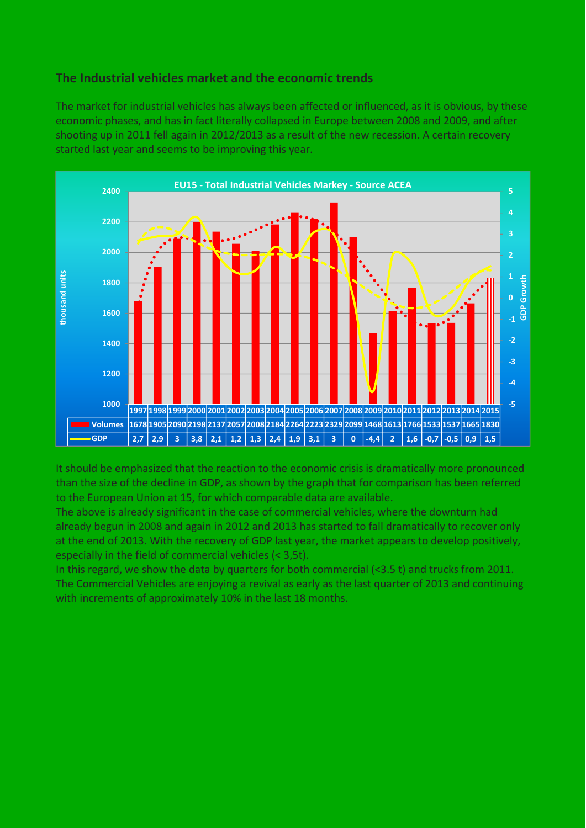## **The Industrial vehicles market and the economic trends**

The market for industrial vehicles has always been affected or influenced, as it is obvious, by these economic phases, and has in fact literally collapsed in Europe between 2008 and 2009, and after shooting up in 2011 fell again in 2012/2013 as a result of the new recession. A certain recovery started last year and seems to be improving this year.



It should be emphasized that the reaction to the economic crisis is dramatically more pronounced than the size of the decline in GDP, as shown by the graph that for comparison has been referred to the European Union at 15, for which comparable data are available.

The above is already significant in the case of commercial vehicles, where the downturn had already begun in 2008 and again in 2012 and 2013 has started to fall dramatically to recover only at the end of 2013. With the recovery of GDP last year, the market appears to develop positively, especially in the field of commercial vehicles (< 3,5t).

In this regard, we show the data by quarters for both commercial (<3.5 t) and trucks from 2011. The Commercial Vehicles are enjoying a revival as early as the last quarter of 2013 and continuing with increments of approximately 10% in the last 18 months.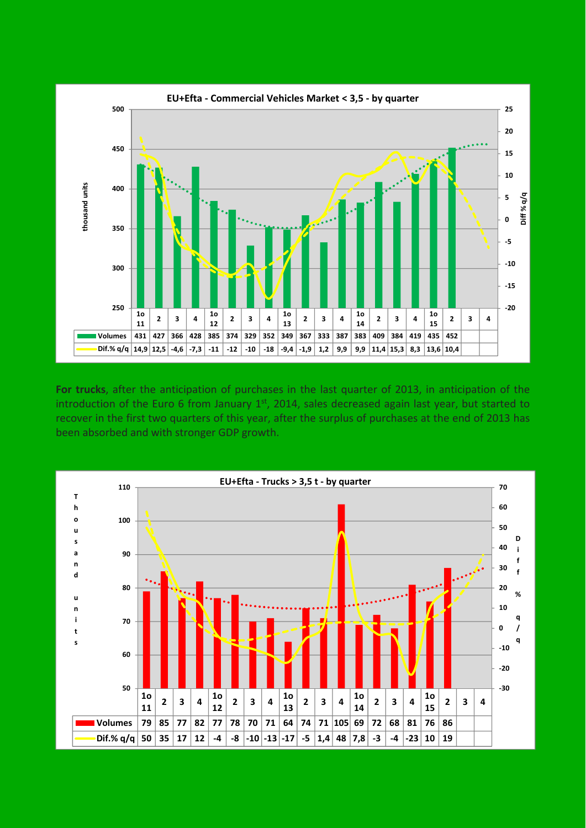

**For trucks**, after the anticipation of purchases in the last quarter of 2013, in anticipation of the introduction of the Euro 6 from January  $1<sup>st</sup>$ , 2014, sales decreased again last year, but started to recover in the first two quarters of this year, after the surplus of purchases at the end of 2013 has been absorbed and with stronger GDP growth.

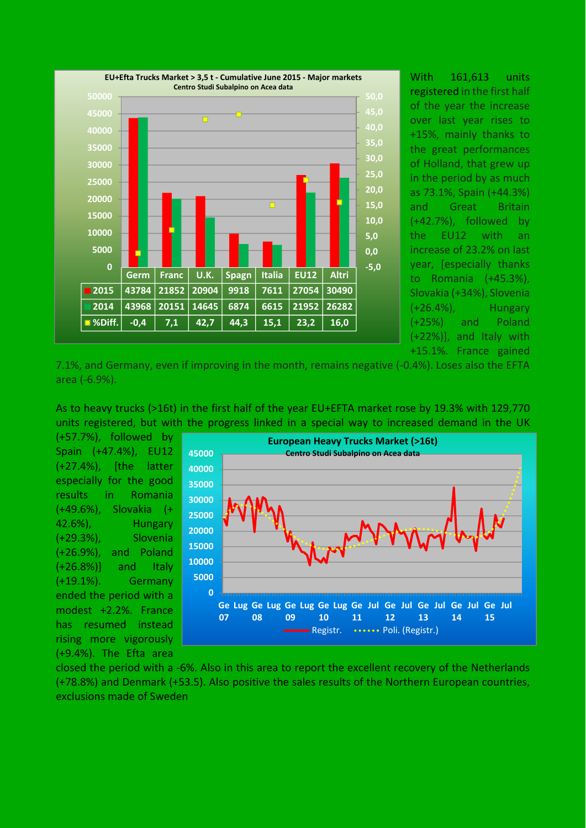

With 161,613 units registered in the first half of the year the increase over last year rises to +15%, mainly thanks to the great performances of Holland, that grew up in the period by as much as 73.1%, Spain (+44.3%) and Great Britain (+42.7%), followed by the EU12 with an increase of 23.2% on last year, [especially thanks to Romania (+45.3%), Slovakia (+34%), Slovenia (+26.4%), Hungary (+25%) and Poland (+22%)], and Italy with +15.1%. France gained

7.1%, and Germany, even if improving in the month, remains negative (‐0.4%). Loses also the EFTA area (‐6.9%).

As to heavy trucks (>16t) in the first half of the year EU+EFTA market rose by 19.3% with 129,770 units registered, but with the progress linked in a special way to increased demand in the UK

(+57.7%), followed by Spain (+47.4%), EU12 (+27.4%), [the latter especially for the good results in Romania (+49.6%), Slovakia (+ 42.6%), Hungary (+29.3%), Slovenia (+26.9%), and Poland (+26.8%)] and Italy (+19.1%). Germany ended the period with a modest +2.2%. France has resumed instead rising more vigorously (+9.4%). The Efta area



closed the period with a ‐6%. Also in this area to report the excellent recovery of the Netherlands (+78.8%) and Denmark (+53.5). Also positive the sales results of the Northern European countries, exclusions made of Sweden